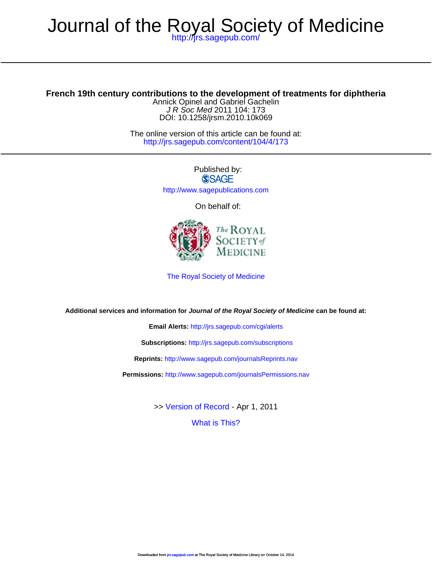## <http://jrs.sagepub.com/> Journal of the Royal Society of Medicine

DOI: 10.1258/jrsm.2010.10k069 J R Soc Med 2011 104: 173 Annick Opinel and Gabriel Gachelin **French 19th century contributions to the development of treatments for diphtheria**

> <http://jrs.sagepub.com/content/104/4/173> The online version of this article can be found at:

> > Published by:<br>
> > SAGE <http://www.sagepublications.com>

On behalf of:



[The Royal Society of Medicine](http://www.rsm.ac.uk/)

**Additional services and information for Journal of the Royal Society of Medicine can be found at:**

**Email Alerts:** <http://jrs.sagepub.com/cgi/alerts>

**Subscriptions:** <http://jrs.sagepub.com/subscriptions>

**Reprints:** <http://www.sagepub.com/journalsReprints.nav>

**Permissions:** <http://www.sagepub.com/journalsPermissions.nav>

>> [Version of Record -](http://jrs.sagepub.com/content/104/4/173.full.pdf) Apr 1, 2011

[What is This?](http://online.sagepub.com/site/sphelp/vorhelp.xhtml)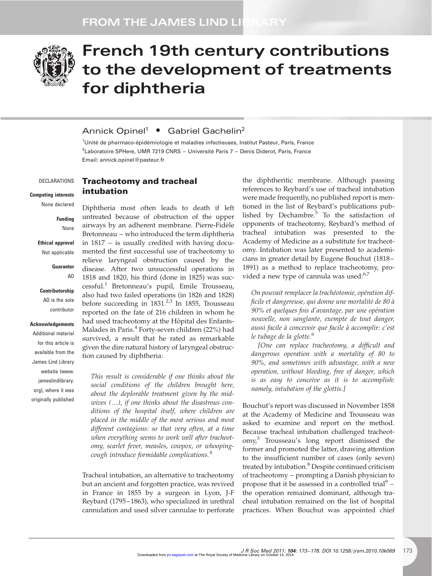

# French 19th century contributions to the development of treatments for diphtheria

## Annick Opinel<sup>1</sup> • Gabriel Gachelin<sup>2</sup>

Tracheotomy and tracheal

intubation

<sup>1</sup>Unité de pharmaco-épidémiologie et maladies infectieuses, Institut Pasteur, Paris, France <sup>2</sup>Laboratoire SPHere, UMR 7219 CNRS – Université Paris 7 – Denis Diderot, Paris, France Email: annick.opinel@pasteur.fr

#### DECLARATIONS

Competing interests None declared

> Funding None

Ethical approval Not applicable

#### Guarantor

 $\Delta \Omega$ 

**Contributorship** 

AO is the sole contributor

#### Acknowledgements

Additional material for this article is available from the James Lind Library website (www. iameslindlibrary. org), where it was originally published

Diphtheria most often leads to death if left untreated because of obstruction of the upper airways by an adherent membrane. Pierre-Fidèle Bretonneau – who introduced the term diphtheria in 1817 – is usually credited with having documented the first successful use of tracheotomy to relieve laryngeal obstruction caused by the disease. After two unsuccessful operations in 1818 and 1820, his third (done in 1825) was successful.<sup>1</sup> Bretonneau's pupil, Emile Trousseau, also had two failed operations (in 1826 and 1828) before succeeding in  $1831<sup>2,3</sup>$  In 1855, Trousseau reported on the fate of 216 children in whom he had used tracheotomy at the Hôpital des Enfants-Malades in Paris.<sup>4</sup> Forty-seven children (22%) had survived, a result that he rated as remarkable given the dire natural history of laryngeal obstruction caused by diphtheria:

This result is considerable if one thinks about the social conditions of the children brought here, about the deplorable treatment given by the midwives (…), if one thinks about the disastrous conditions of the hospital itself, where children are placed in the middle of the most serious and most different contagions: so that very often, at a time when everything seems to work well after tracheotomy, scarlet fever, measles, cowpox, or whoopingcough introduce formidable complications.<sup>4</sup>

Tracheal intubation, an alternative to tracheotomy but an ancient and forgotten practice, was revived in France in 1855 by a surgeon in Lyon, J-F Reybard (1795-1863), who specialized in urethral cannulation and used silver cannulae to perforate

the diphtheritic membrane. Although passing references to Reybard's use of tracheal intubation were made frequently, no published report is mentioned in the list of Reybard's publications published by Dechambre. $5$  To the satisfaction of opponents of tracheotomy, Reybard's method of tracheal intubation was presented to the Academy of Medicine as a substitute for tracheotomy. Intubation was later presented to academicians in greater detail by Eugene Bouchut (1818 – 1891) as a method to replace tracheotomy, provided a new type of cannula was used:<sup>6,7</sup>

On pouvait remplacer la trachéotomie, opération difficile et dangereuse, qui donne une mortalité de 80 à 90% et quelques fois d'avantage, par une opération nouvelle, non sanglante, exempte de tout danger, aussi facile à concevoir que facile à accomplir: c'est le tubage de la glotte.<sup>6</sup>

[One can replace tracheotomy, a difficult and dangerous operation with a mortality of 80 to 90%, and sometimes with advantage, with a new operation, without bleeding, free of danger, which is as easy to conceive as it is to accomplish: namely, intubation of the glottis.]

Bouchut's report was discussed in November 1858 at the Academy of Medicine and Trousseau was asked to examine and report on the method. Because tracheal intubation challenged tracheotomy,<sup>3</sup> Trousseau's long report dismissed the former and promoted the latter, drawing attention to the insufficient number of cases (only seven) treated by intubation.<sup>8</sup> Despite continued criticism of tracheotomy – prompting a Danish physician to propose that it be assessed in a controlled trial<sup>9</sup> – the operation remained dominant, although tracheal intubation remained on the list of hospital practices. When Bouchut was appointed chief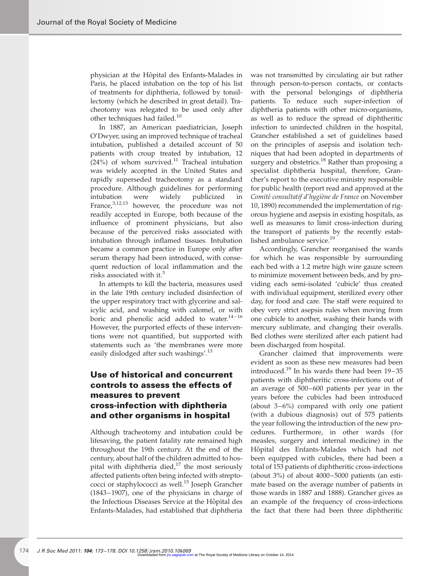physician at the Hôpital des Enfants-Malades in Paris, he placed intubation on the top of his list of treatments for diphtheria, followed by tonsillectomy (which he described in great detail). Tracheotomy was relegated to be used only after other techniques had failed.<sup>10</sup>

In 1887, an American paediatrician, Joseph O'Dwyer, using an improved technique of tracheal intubation, published a detailed account of 50 patients with croup treated by intubation, 12  $(24%)$  of whom survived.<sup>11</sup> Tracheal intubation was widely accepted in the United States and rapidly superseded tracheotomy as a standard procedure. Although guidelines for performing intubation were widely publicized in France,<sup>3,12,13</sup> however, the procedure was not readily accepted in Europe, both because of the influence of prominent physicians, but also because of the perceived risks associated with intubation through inflamed tissues. Intubation became a common practice in Europe only after serum therapy had been introduced, with consequent reduction of local inflammation and the risks associated with it.<sup>3</sup>

In attempts to kill the bacteria, measures used in the late 19th century included disinfection of the upper respiratory tract with glycerine and salicylic acid, and washing with calomel, or with boric and phenolic acid added to water. $14-16$ However, the purported effects of these interventions were not quantified, but supported with statements such as 'the membranes were more easily dislodged after such washings'.<sup>13</sup>

## Use of historical and concurrent controls to assess the effects of measures to prevent cross-infection with diphtheria and other organisms in hospital

Although tracheotomy and intubation could be lifesaving, the patient fatality rate remained high throughout the 19th century. At the end of the century, about half of the children admitted to hospital with diphtheria died, $17$  the most seriously affected patients often being infected with streptococci or staphylococci as well.<sup>15</sup> Joseph Grancher (1843 – 1907), one of the physicians in charge of the Infectious Diseases Service at the Hôpital des Enfants-Malades, had established that diphtheria was not transmitted by circulating air but rather through person-to-person contacts, or contacts with the personal belongings of diphtheria patients. To reduce such super-infection of diphtheria patients with other micro-organisms, as well as to reduce the spread of diphtheritic infection to uninfected children in the hospital, Grancher established a set of guidelines based on the principles of asepsis and isolation techniques that had been adopted in departments of surgery and obstetrics.<sup>18</sup> Rather than proposing a specialist diphtheria hospital, therefore, Grancher's report to the executive ministry responsible for public health (report read and approved at the Comité consultatif d'hygiène de France on November 10, 1890) recommended the implementation of rigorous hygiene and asepsis in existing hospitals, as well as measures to limit cross-infection during the transport of patients by the recently established ambulance service.<sup>19</sup>

Accordingly, Grancher reorganised the wards for which he was responsible by surrounding each bed with a 1.2 metre high wire gauze screen to minimize movement between beds, and by providing each semi-isolated 'cubicle' thus created with individual equipment, sterilized every other day, for food and care. The staff were required to obey very strict asepsis rules when moving from one cubicle to another, washing their hands with mercury sublimate, and changing their overalls. Bed clothes were sterilized after each patient had been discharged from hospital.

Grancher claimed that improvements were evident as soon as these new measures had been introduced.<sup>19</sup> In his wards there had been  $19-35$ patients with diphtheritic cross-infections out of an average of 500–600 patients per year in the years before the cubicles had been introduced (about  $3-6\%$ ) compared with only one patient (with a dubious diagnosis) out of 575 patients the year following the introduction of the new procedures. Furthermore, in other wards (for measles, surgery and internal medicine) in the Hôpital des Enfants-Malades which had not been equipped with cubicles, there had been a total of 153 patients of diphtheritic cross-infections (about 3%) of about 4000 –5000 patients (an estimate based on the average number of patients in those wards in 1887 and 1888). Grancher gives as an example of the frequency of cross-infections the fact that there had been three diphtheritic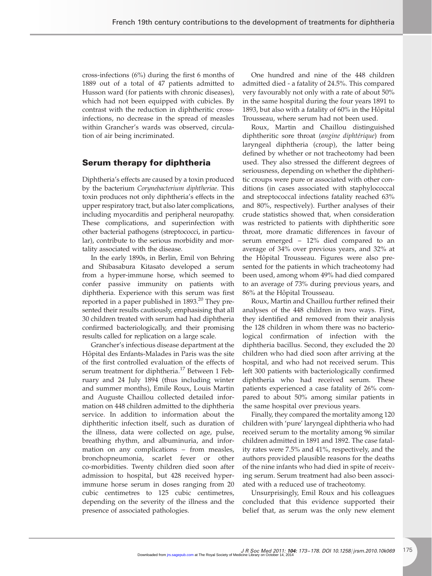cross-infections (6%) during the first 6 months of 1889 out of a total of 47 patients admitted to Husson ward (for patients with chronic diseases), which had not been equipped with cubicles. By contrast with the reduction in diphtheritic crossinfections, no decrease in the spread of measles within Grancher's wards was observed, circulation of air being incriminated.

### Serum therapy for diphtheria

Diphtheria's effects are caused by a toxin produced by the bacterium Corynebacterium diphtheriae. This toxin produces not only diphtheria's effects in the upper respiratory tract, but also later complications, including myocarditis and peripheral neuropathy. These complications, and superinfection with other bacterial pathogens (streptococci, in particular), contribute to the serious morbidity and mortality associated with the disease.

In the early 1890s, in Berlin, Emil von Behring and Shibasabura Kitasato developed a serum from a hyper-immune horse, which seemed to confer passive immunity on patients with diphtheria. Experience with this serum was first reported in a paper published in  $1893.<sup>20</sup>$  They presented their results cautiously, emphasising that all 30 children treated with serum had had diphtheria confirmed bacteriologically, and their promising results called for replication on a large scale.

Grancher's infectious disease department at the Hôpital des Enfants-Malades in Paris was the site of the first controlled evaluation of the effects of serum treatment for diphtheria.<sup>17</sup> Between 1 February and 24 July 1894 (thus including winter and summer months), Emile Roux, Louis Martin and Auguste Chaillou collected detailed information on 448 children admitted to the diphtheria service. In addition to information about the diphtheritic infection itself, such as duration of the illness, data were collected on age, pulse, breathing rhythm, and albuminuria, and information on any complications – from measles, bronchopneumonia, scarlet fever or other co-morbidities. Twenty children died soon after admission to hospital, but 428 received hyperimmune horse serum in doses ranging from 20 cubic centimetres to 125 cubic centimetres, depending on the severity of the illness and the presence of associated pathologies.

One hundred and nine of the 448 children admitted died - a fatality of 24.5%. This compared very favourably not only with a rate of about 50% in the same hospital during the four years 1891 to 1893, but also with a fatality of 60% in the Hôpital Trousseau, where serum had not been used.

Roux, Martin and Chaillou distinguished diphtheritic sore throat *(angine diphtérique)* from laryngeal diphtheria (croup), the latter being defined by whether or not tracheotomy had been used. They also stressed the different degrees of seriousness, depending on whether the diphtheritic croups were pure or associated with other conditions (in cases associated with staphylococcal and streptococcal infections fatality reached 63% and 80%, respectively). Further analyses of their crude statistics showed that, when consideration was restricted to patients with diphtheritic sore throat, more dramatic differences in favour of serum emerged – 12% died compared to an average of 34% over previous years, and 32% at the Hôpital Trousseau. Figures were also presented for the patients in which tracheotomy had been used, among whom 49% had died compared to an average of 73% during previous years, and 86% at the Hôpital Trousseau.

Roux, Martin and Chaillou further refined their analyses of the 448 children in two ways. First, they identified and removed from their analysis the 128 children in whom there was no bacteriological confirmation of infection with the diphtheria bacillus. Second, they excluded the 20 children who had died soon after arriving at the hospital, and who had not received serum. This left 300 patients with bacteriologically confirmed diphtheria who had received serum. These patients experienced a case fatality of 26% compared to about 50% among similar patients in the same hospital over previous years.

Finally, they compared the mortality among 120 children with 'pure' laryngeal diphtheria who had received serum to the mortality among 96 similar children admitted in 1891 and 1892. The case fatality rates were 7.5% and 41%, respectively, and the authors provided plausible reasons for the deaths of the nine infants who had died in spite of receiving serum. Serum treatment had also been associated with a reduced use of tracheotomy.

Unsurprisingly, Emil Roux and his colleagues concluded that this evidence supported their belief that, as serum was the only new element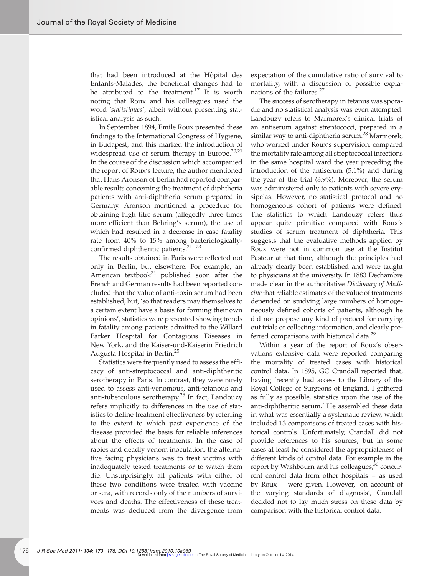that had been introduced at the Hôpital des Enfants-Malades, the beneficial changes had to be attributed to the treatment.<sup>17</sup> It is worth noting that Roux and his colleagues used the word 'statistiques', albeit without presenting statistical analysis as such.

In September 1894, Emile Roux presented these findings to the International Congress of Hygiene, in Budapest, and this marked the introduction of widespread use of serum therapy in Europe. $20,21$ In the course of the discussion which accompanied the report of Roux's lecture, the author mentioned that Hans Aronson of Berlin had reported comparable results concerning the treatment of diphtheria patients with anti-diphtheria serum prepared in Germany. Aronson mentioned a procedure for obtaining high titre serum (allegedly three times more efficient than Behring's serum), the use of which had resulted in a decrease in case fatality rate from 40% to 15% among bacteriologicallyconfirmed diphtheritic patients.<sup>21-23</sup>

The results obtained in Paris were reflected not only in Berlin, but elsewhere. For example, an American textbook<sup>24</sup> published soon after the French and German results had been reported concluded that the value of anti-toxin serum had been established, but, 'so that readers may themselves to a certain extent have a basis for forming their own opinions', statistics were presented showing trends in fatality among patients admitted to the Willard Parker Hospital for Contagious Diseases in New York, and the Kaiser-und-Kaiserin Friedrich Augusta Hospital in Berlin.<sup>25</sup>

Statistics were frequently used to assess the efficacy of anti-streptococcal and anti-diphtheritic serotherapy in Paris. In contrast, they were rarely used to assess anti-venomous, anti-tetanous and anti-tuberculous serotherapy.<sup>26</sup> In fact, Landouzy refers implicitly to differences in the use of statistics to define treatment effectiveness by referring to the extent to which past experience of the disease provided the basis for reliable inferences about the effects of treatments. In the case of rabies and deadly venom inoculation, the alternative facing physicians was to treat victims with inadequately tested treatments or to watch them die. Unsurprisingly, all patients with either of these two conditions were treated with vaccine or sera, with records only of the numbers of survivors and deaths. The effectiveness of these treatments was deduced from the divergence from

expectation of the cumulative ratio of survival to mortality, with a discussion of possible explanations of the failures.<sup>27</sup>

The success of serotherapy in tetanus was sporadic and no statistical analysis was even attempted. Landouzy refers to Marmorek's clinical trials of an antiserum against streptococci, prepared in a similar way to anti-diphtheria serum.<sup>28</sup> Marmorek, who worked under Roux's supervision, compared the mortality rate among all streptococcal infections in the same hospital ward the year preceding the introduction of the antiserum (5.1%) and during the year of the trial (3.9%). Moreover, the serum was administered only to patients with severe erysipelas. However, no statistical protocol and no homogeneous cohort of patients were defined. The statistics to which Landouzy refers thus appear quite primitive compared with Roux's studies of serum treatment of diphtheria. This suggests that the evaluative methods applied by Roux were not in common use at the Institut Pasteur at that time, although the principles had already clearly been established and were taught to physicians at the university. In 1883 Dechambre made clear in the authoritative Dictionary of Medicine that reliable estimates of the value of treatments depended on studying large numbers of homogeneously defined cohorts of patients, although he did not propose any kind of protocol for carrying out trials or collecting information, and clearly preferred comparisons with historical data.<sup>29</sup>

Within a year of the report of Roux's observations extensive data were reported comparing the mortality of treated cases with historical control data. In 1895, GC Crandall reported that, having 'recently had access to the Library of the Royal College of Surgeons of England, I gathered as fully as possible, statistics upon the use of the anti-diphtheritic serum.' He assembled these data in what was essentially a systematic review, which included 13 comparisons of treated cases with historical controls. Unfortunately, Crandall did not provide references to his sources, but in some cases at least he considered the appropriateness of different kinds of control data. For example in the report by Washbourn and his colleagues, $30$  concurrent control data from other hospitals – as used by Roux – were given. However, 'on account of the varying standards of diagnosis', Crandall decided not to lay much stress on these data by comparison with the historical control data.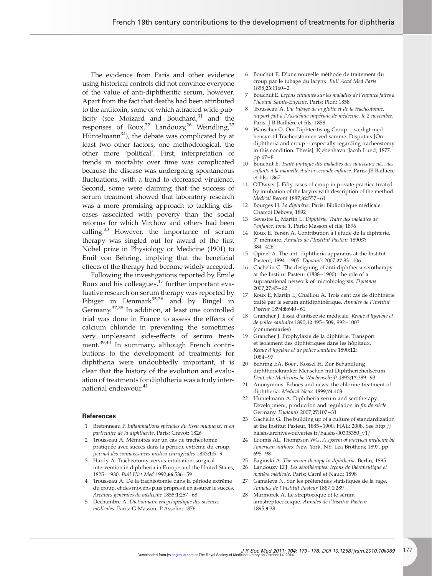The evidence from Paris and other evidence using historical controls did not convince everyone of the value of anti-diphtheritic serum, however. Apart from the fact that deaths had been attributed to the antitoxin, some of which attracted wide publicity (see Moizard and Bouchard, $31$  and the responses of  $Roux<sub>1</sub><sup>32</sup> Landouzy<sub>2</sub><sup>26</sup> Weindling<sub>2</sub><sup>33</sup>$ Hüntelmann<sup>34</sup>), the debate was complicated by at least two other factors, one methodological, the other more 'political'. First, interpretation of trends in mortality over time was complicated because the disease was undergoing spontaneous fluctuations, with a trend to decreased virulence. Second, some were claiming that the success of serum treatment showed that laboratory research was a more promising approach to tackling diseases associated with poverty than the social reforms for which Virchow and others had been calling. $33$  However, the importance of serum therapy was singled out for award of the first Nobel prize in Physiology or Medicine (1901) to Emil von Behring, implying that the beneficial effects of the therapy had become widely accepted.

Following the investigations reported by Emile Roux and his colleagues, $17$  further important evaluative research on serum therapy was reported by Fibiger in Denmark $35,36$  and by Bingel in Germany.37,38 In addition, at least one controlled trial was done in France to assess the effects of calcium chloride in preventing the sometimes very unpleasant side-effects of serum treatment.<sup>39,40</sup> In summary, although French contributions to the development of treatments for diphtheria were undoubtedly important, it is clear that the history of the evolution and evaluation of treatments for diphtheria was a truly international endeavour.<sup>41</sup>

#### **References**

- 1 Bretonneau P. Inflammations spéciales du tissu muqueux, et en particulier de la diphthérite. Paris: Crevot; 1826
- 2 Trousseau A. Mémoires sur un cas de trachéotomie pratiquée avec succès dans la période extrême du croup. Journal des connaissances médico-chirugicales 1833;1:5-9
- 3 Hardy A. Tracheotomy versus intubation: surgical intervention in diphtheria in Europe and the United States, 1825 –1930. Bull Hist Med 1992;66:536 – 59
- 4 Trousseau A. De la trachéotomie dans la période extrême du croup, et des moyens plus propres à en assurer le succès. Archives générales de médecine 1855;1:257-68
- 5 Dechambre A. Dictionnaire encyclopédique des sciences médicales. Paris: G Masson, P Asselin; 1876
- 6 Bouchut E. D'une nouvelle méthode de traitement du croup par le tubage du larynx. Bull Acad Med Paris 1858;23:1160 –2
- 7 Bouchut E. Leçons cliniques sur les maladies de l'enfance faites à l'hôpital Sainte-Eugénie. Paris: Plon; 1858
- Trousseau A. Du tubage de la glotte et de la trachéotomie, rapport fait à l'Académie impériale de médecine, le 2 novembre. Paris: J-B Baillière et fils; 1858
- 9 Wanscher O. Om Diphteritis og Croup særligt med hensyn til Tracheostomien ved samme. Disputats [On diphtheria and croup – especially regarding tracheostomy in this condition. Thesis]. Kjøbenhavn: Jacob Lund; 1877. pp 67– 8
- 10 Bouchut E. Traité pratique des maladies des nouveaux-nés, des enfants à la mamelle et de la seconde enfance. Paris: JB Baillière et fils; 1867
- 11 O'Dwyer J. Fifty cases of croup in private practice treated by intubation of the larynx with description of the method. Medical Record 1887;32:557 –61
- 12 Bourges H. La diphtérie. Paris: Bibliothèque médicale Charcot Debove; 1892
- 13 Sevestre L, Martin L. Diphtérie: Traité des maladies de l'enfance, tome 1. Paris: Masson et fils; 1896
- 14 Roux E, Yersin A. Contribution à l'étude de la diphtérie, 3<sup>e</sup> mémoire. Annales de l'Institut Pasteur 1890;7: 384 –426
- 15 Opinel A. The anti-diphtheria apparatus at the Institut Pasteur, 1894 –1905. Dynamis 2007;27:83 –106
- 16 Gachelin G. The designing of anti-diphtheria serotherapy at the Institut Pasteur (1888 – 1900): the role of a supranational network of microbiologists. Dynamis 2007;27:45 –62
- 17 Roux E, Martin L, Chaillou A. Trois cent cas de diphthérie traité par le serum antidiphthérique. Annales de l'Institut Pasteur 1894;8:640-61
- 18 Grancher J. Essai d'antisepsie médicale. Revue d'hygiène et de police sanitaire 1890;12:495 –509, 992– 1003 (commentaries)
- 19 Grancher J. Prophylaxie de la diphtérie. Transport et isolement des diphtériques dans les hôpitaux. Revue d'hygiène et de police sanitaire 1890;12: 1084 –97
- 20 Behring EA, Boer , Kossel H. Zur Behandlung diphtheriekranker Menschen mit Diphtherieheilserum. Deutsche Medicinische Wochenschrift 1893;17:389 – 93
- 21 Anonymous. Echoes and news: the chlorine treatment of diphtheria. Medical News 1899;74:403
- 22 Hüntelmann A. Diphtheria serum and serotherapy. Development, production and regulation in fin de siècle Germany. Dynamis 2007;27:107 – 31
- 23 Gachelin G. The building up of a culture of standardization at the Institut Pasteur, 1885 –1900. HAL: 2008. See http:// halshs.archives-ouvertes.fr/halshs-00335350\_v1/
- 24 Loomis AL, Thompson WG. A system of practical medicine by American authors. New York, NY: Lea Brothers; 1897. pp 695 –98
- 25 Baginski A. The serum therapy in diphtheria. Berlin; 1895
- 26 Landouzy LTJ. Les sérothérapies: leçons de thérapeutique et matière médicale. Paris: Carré et Naud; 1898
- 27 Gamaleya N. Sur les prétendues statistiques de la rage. Annales de l'Institut Pasteur 1887;1:289
- 28 Marmorek A. Le streptocoque et le sérum antistreptococcique. Annales de l'Institut Pasteur 1895;9:38